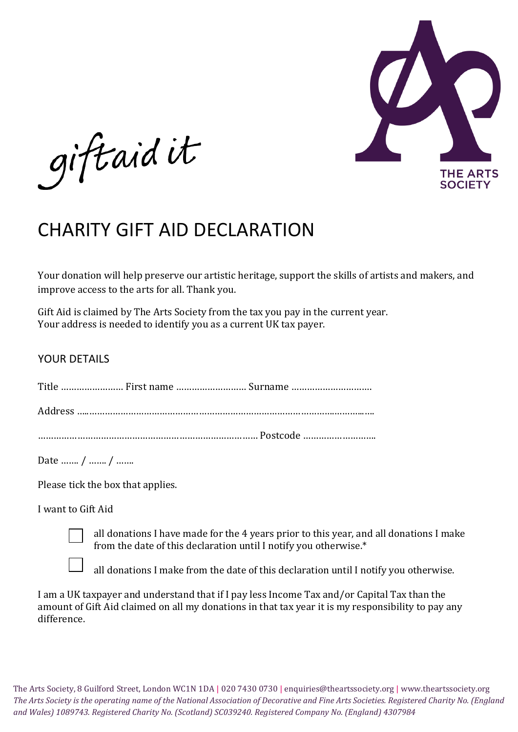

giftaidit

## CHARITY GIFT AID DECLARATION

Your donation will help preserve our artistic heritage, support the skills of artists and makers, and improve access to the arts for all. Thank you.

Gift Aid is claimed by The Arts Society from the tax you pay in the current year. Your address is needed to identify you as a current UK tax payer.

## YOUR DETAILS

| Title  First name  Surname |  |
|----------------------------|--|
|----------------------------|--|

Address …..………………………………………………………………………………….………...….

………………………………………………………………………… Postcode ……………………….

Date ……. / ……. / …….

Please tick the box that applies.

I want to Gift Aid

all donations I have made for the 4 years prior to this year, and all donations I make from the date of this declaration until I notify you otherwise.\*

all donations I make from the date of this declaration until I notify you otherwise.

I am a UK taxpayer and understand that if I pay less Income Tax and/or Capital Tax than the amount of Gift Aid claimed on all my donations in that tax year it is my responsibility to pay any difference.

The Arts Society, 8 Guilford Street, London WC1N 1DA | 020 7430 0730 | enquiries@theartssociety.org | www.theartssociety.org *The Arts Society is the operating name of the National Association of Decorative and Fine Arts Societies. Registered Charity No. (England and Wales) 1089743. Registered Charity No. (Scotland) SC039240. Registered Company No. (England) 4307984*